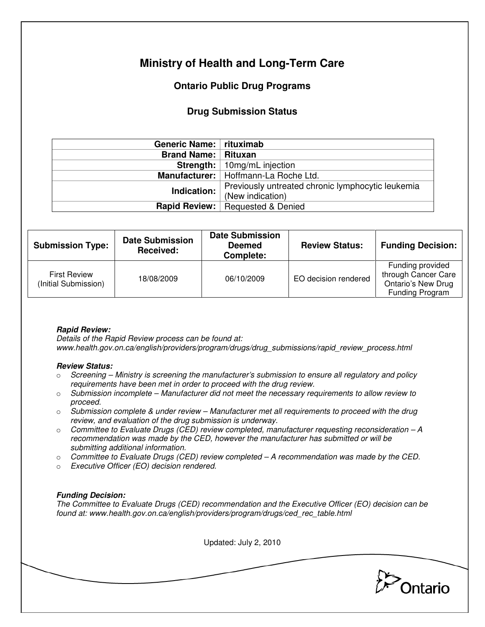# **Ministry of Health and Long-Term Care**

## **Ontario Public Drug Programs**

### **Drug Submission Status**

| Generic Name:   rituximab  |                                                   |  |
|----------------------------|---------------------------------------------------|--|
| <b>Brand Name: Rituxan</b> |                                                   |  |
|                            | <b>Strength:</b>   10mg/mL injection              |  |
|                            | Manufacturer:   Hoffmann-La Roche Ltd.            |  |
| Indication:                | Previously untreated chronic lymphocytic leukemia |  |
|                            | (New indication)                                  |  |
| <b>Rapid Review:</b>       | Requested & Denied                                |  |

| <b>Submission Type:</b>                     | <b>Date Submission</b><br>Received: | <b>Date Submission</b><br><b>Deemed</b><br>Complete: | <b>Review Status:</b> | <b>Funding Decision:</b>                                                                |
|---------------------------------------------|-------------------------------------|------------------------------------------------------|-----------------------|-----------------------------------------------------------------------------------------|
| <b>First Review</b><br>(Initial Submission) | 18/08/2009                          | 06/10/2009                                           | EO decision rendered  | Funding provided<br>through Cancer Care<br><b>Ontario's New Drug</b><br>Funding Program |

### **Rapid Review:**

Details of the Rapid Review process can be found at: www.health.gov.on.ca/english/providers/program/drugs/drug\_submissions/rapid\_review\_process.html

#### **Review Status:**

- $\circ$  Screening Ministry is screening the manufacturer's submission to ensure all regulatory and policy requirements have been met in order to proceed with the drug review.
- $\circ$  Submission incomplete Manufacturer did not meet the necessary requirements to allow review to proceed.
- $\circ$  Submission complete & under review Manufacturer met all requirements to proceed with the drug review, and evaluation of the drug submission is underway.
- $\circ$  Committee to Evaluate Drugs (CED) review completed, manufacturer requesting reconsideration  $-A$ recommendation was made by the CED, however the manufacturer has submitted or will be submitting additional information.
- $\circ$  Committee to Evaluate Drugs (CED) review completed A recommendation was made by the CED.
- o Executive Officer (EO) decision rendered.

### **Funding Decision:**

The Committee to Evaluate Drugs (CED) recommendation and the Executive Officer (EO) decision can be found at: www.health.gov.on.ca/english/providers/program/drugs/ced\_rec\_table.html

Updated: July 2, 2010 Ontario